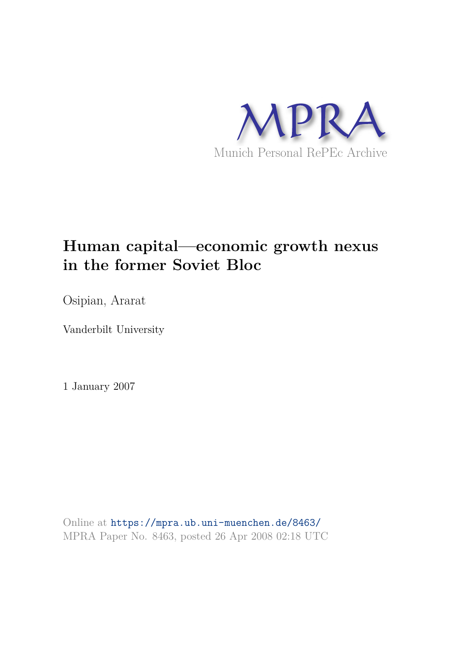

# **Human capital—economic growth nexus in the former Soviet Bloc**

Osipian, Ararat

Vanderbilt University

1 January 2007

Online at https://mpra.ub.uni-muenchen.de/8463/ MPRA Paper No. 8463, posted 26 Apr 2008 02:18 UTC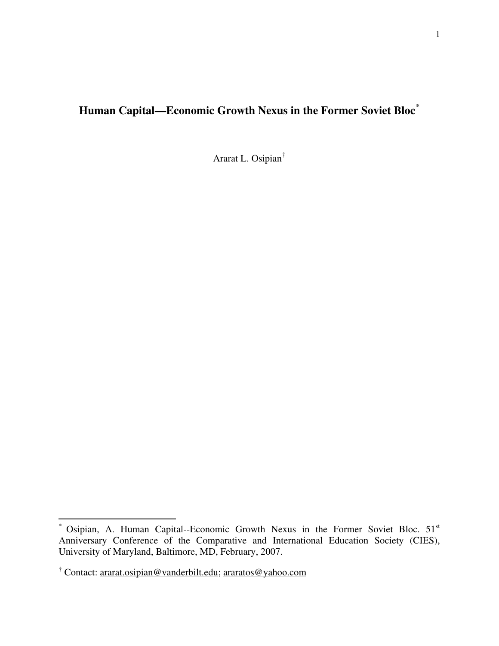# **Human Capital—Economic Growth Nexus in the Former Soviet Bloc[\\*](#page-1-0)**

Ararat L. Osipian[†](#page-1-1)

 $\overline{a}$ 

<span id="page-1-0"></span><sup>\*</sup> Osipian, A. Human Capital--Economic Growth Nexus in the Former Soviet Bloc. 51<sup>st</sup> Anniversary Conference of the Comparative and International Education Society (CIES), University of Maryland, Baltimore, MD, February, 2007.

<span id="page-1-1"></span><sup>&</sup>lt;sup>†</sup> Contact: <u>[ararat.osipian@vanderbilt.edu;](mailto:ararat.osipian@vanderbilt.edu) [araratos@yahoo.com](mailto:araratos@yahoo.com)</u>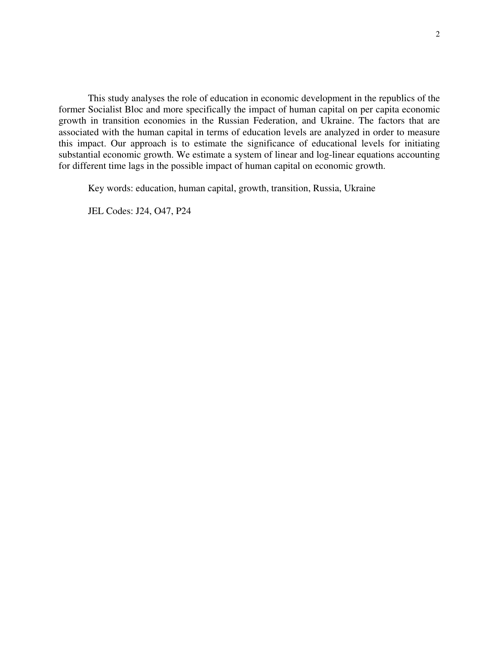This study analyses the role of education in economic development in the republics of the former Socialist Bloc and more specifically the impact of human capital on per capita economic growth in transition economies in the Russian Federation, and Ukraine. The factors that are associated with the human capital in terms of education levels are analyzed in order to measure this impact. Our approach is to estimate the significance of educational levels for initiating substantial economic growth. We estimate a system of linear and log-linear equations accounting for different time lags in the possible impact of human capital on economic growth.

Key words: education, human capital, growth, transition, Russia, Ukraine

JEL Codes: J24, O47, P24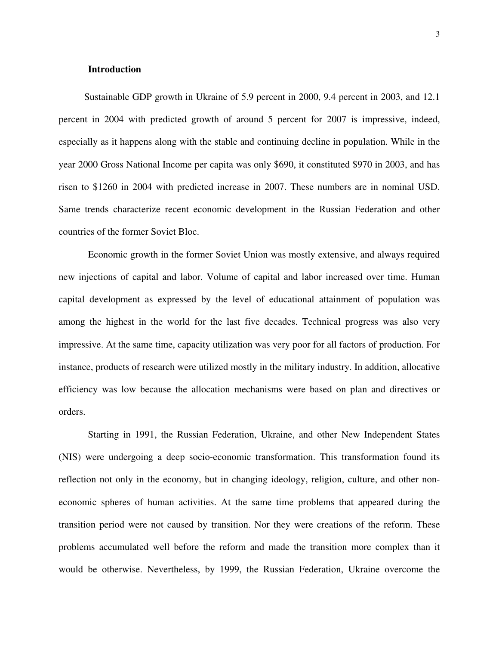# **Introduction**

Sustainable GDP growth in Ukraine of 5.9 percent in 2000, 9.4 percent in 2003, and 12.1 percent in 2004 with predicted growth of around 5 percent for 2007 is impressive, indeed, especially as it happens along with the stable and continuing decline in population. While in the year 2000 Gross National Income per capita was only \$690, it constituted \$970 in 2003, and has risen to \$1260 in 2004 with predicted increase in 2007. These numbers are in nominal USD. Same trends characterize recent economic development in the Russian Federation and other countries of the former Soviet Bloc.

Economic growth in the former Soviet Union was mostly extensive, and always required new injections of capital and labor. Volume of capital and labor increased over time. Human capital development as expressed by the level of educational attainment of population was among the highest in the world for the last five decades. Technical progress was also very impressive. At the same time, capacity utilization was very poor for all factors of production. For instance, products of research were utilized mostly in the military industry. In addition, allocative efficiency was low because the allocation mechanisms were based on plan and directives or orders.

Starting in 1991, the Russian Federation, Ukraine, and other New Independent States (NIS) were undergoing a deep socio-economic transformation. This transformation found its reflection not only in the economy, but in changing ideology, religion, culture, and other noneconomic spheres of human activities. At the same time problems that appeared during the transition period were not caused by transition. Nor they were creations of the reform. These problems accumulated well before the reform and made the transition more complex than it would be otherwise. Nevertheless, by 1999, the Russian Federation, Ukraine overcome the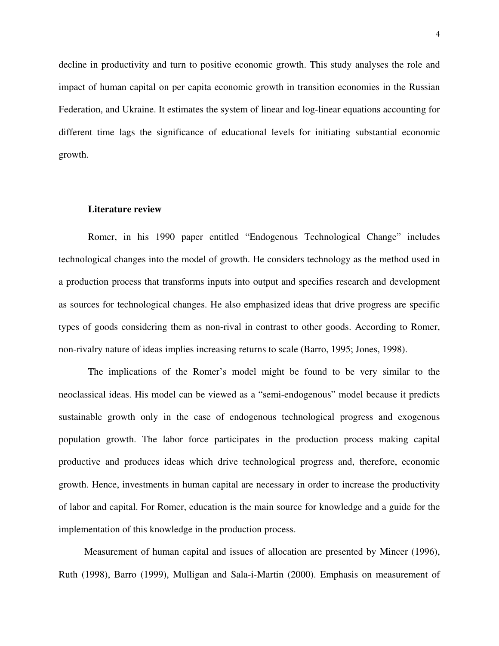decline in productivity and turn to positive economic growth. This study analyses the role and impact of human capital on per capita economic growth in transition economies in the Russian Federation, and Ukraine. It estimates the system of linear and log-linear equations accounting for different time lags the significance of educational levels for initiating substantial economic growth.

#### **Literature review**

Romer, in his 1990 paper entitled "Endogenous Technological Change" includes technological changes into the model of growth. He considers technology as the method used in a production process that transforms inputs into output and specifies research and development as sources for technological changes. He also emphasized ideas that drive progress are specific types of goods considering them as non-rival in contrast to other goods. According to Romer, non-rivalry nature of ideas implies increasing returns to scale (Barro, 1995; Jones, 1998).

The implications of the Romer's model might be found to be very similar to the neoclassical ideas. His model can be viewed as a "semi-endogenous" model because it predicts sustainable growth only in the case of endogenous technological progress and exogenous population growth. The labor force participates in the production process making capital productive and produces ideas which drive technological progress and, therefore, economic growth. Hence, investments in human capital are necessary in order to increase the productivity of labor and capital. For Romer, education is the main source for knowledge and a guide for the implementation of this knowledge in the production process.

Measurement of human capital and issues of allocation are presented by Mincer (1996), Ruth (1998), Barro (1999), Mulligan and Sala-i-Martin (2000). Emphasis on measurement of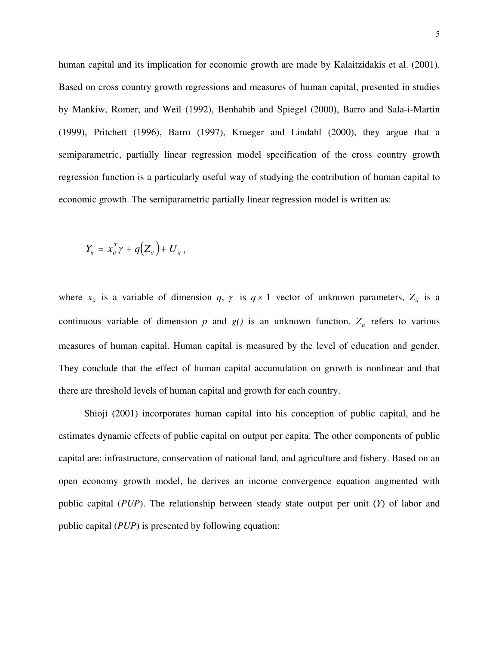human capital and its implication for economic growth are made by Kalaitzidakis et al. (2001). Based on cross country growth regressions and measures of human capital, presented in studies by Mankiw, Romer, and Weil (1992), Benhabib and Spiegel (2000), Barro and Sala-i-Martin (1999), Pritchett (1996), Barro (1997), Krueger and Lindahl (2000), they argue that a semiparametric, partially linear regression model specification of the cross country growth regression function is a particularly useful way of studying the contribution of human capital to economic growth. The semiparametric partially linear regression model is written as:

$$
Y_{it} = x_{it}^T \gamma + q(Z_{it}) + U_{it},
$$

where  $x_{it}$  is a variable of dimension *q*,  $\gamma$  is  $q \times 1$  vector of unknown parameters,  $Z_{it}$  is a continuous variable of dimension  $p$  and  $g(j)$  is an unknown function.  $Z_{it}$  refers to various measures of human capital. Human capital is measured by the level of education and gender. They conclude that the effect of human capital accumulation on growth is nonlinear and that there are threshold levels of human capital and growth for each country.

Shioji (2001) incorporates human capital into his conception of public capital, and he estimates dynamic effects of public capital on output per capita. The other components of public capital are: infrastructure, conservation of national land, and agriculture and fishery. Based on an open economy growth model, he derives an income convergence equation augmented with public capital (*PUP*). The relationship between steady state output per unit (*Y*) of labor and public capital (*PUP*) is presented by following equation: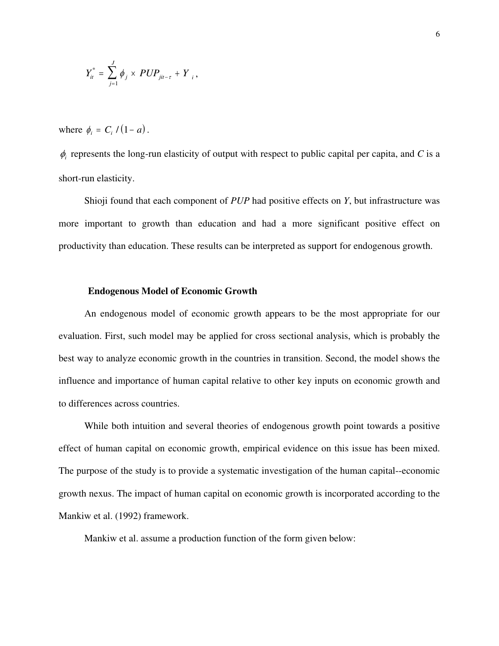$$
Y_{it}^* = \sum_{j=1}^J \phi_j \times PUP_{jit-\tau} + Y_i,
$$

where  $\phi_i = C_i / (1 - a)$ .

 $\phi$ <sub>*i*</sub> represents the long-run elasticity of output with respect to public capital per capita, and *C* is a short-run elasticity.

Shioji found that each component of *PUP* had positive effects on *Y*, but infrastructure was more important to growth than education and had a more significant positive effect on productivity than education. These results can be interpreted as support for endogenous growth.

### **Endogenous Model of Economic Growth**

An endogenous model of economic growth appears to be the most appropriate for our evaluation. First, such model may be applied for cross sectional analysis, which is probably the best way to analyze economic growth in the countries in transition. Second, the model shows the influence and importance of human capital relative to other key inputs on economic growth and to differences across countries.

While both intuition and several theories of endogenous growth point towards a positive effect of human capital on economic growth, empirical evidence on this issue has been mixed. The purpose of the study is to provide a systematic investigation of the human capital--economic growth nexus. The impact of human capital on economic growth is incorporated according to the Mankiw et al. (1992) framework.

Mankiw et al. assume a production function of the form given below: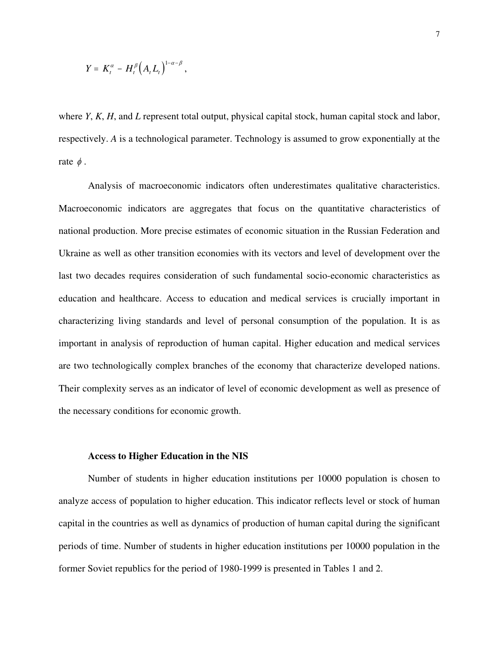$$
Y = K_t^{\alpha} - H_t^{\beta} (A_t L_t)^{1-\alpha-\beta},
$$

where *Y*, *K*, *H*, and *L* represent total output, physical capital stock, human capital stock and labor, respectively. *A* is a technological parameter. Technology is assumed to grow exponentially at the rate  $\phi$ .

Analysis of macroeconomic indicators often underestimates qualitative characteristics. Macroeconomic indicators are aggregates that focus on the quantitative characteristics of national production. More precise estimates of economic situation in the Russian Federation and Ukraine as well as other transition economies with its vectors and level of development over the last two decades requires consideration of such fundamental socio-economic characteristics as education and healthcare. Access to education and medical services is crucially important in characterizing living standards and level of personal consumption of the population. It is as important in analysis of reproduction of human capital. Higher education and medical services are two technologically complex branches of the economy that characterize developed nations. Their complexity serves as an indicator of level of economic development as well as presence of the necessary conditions for economic growth.

#### **Access to Higher Education in the NIS**

Number of students in higher education institutions per 10000 population is chosen to analyze access of population to higher education. This indicator reflects level or stock of human capital in the countries as well as dynamics of production of human capital during the significant periods of time. Number of students in higher education institutions per 10000 population in the former Soviet republics for the period of 1980-1999 is presented in Tables 1 and 2.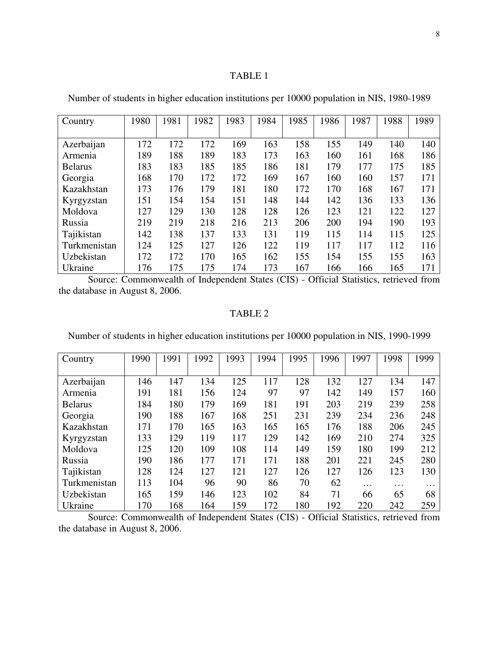# TABLE 1

| Country        | 1980 | 1981 | 1982 | 1983 | 1984 | 1985 | 1986 | 1987 | 1988 | 1989 |
|----------------|------|------|------|------|------|------|------|------|------|------|
|                |      |      |      |      |      |      |      |      |      |      |
| Azerbaijan     | 172  | 172  | 172  | 169  | 163  | 158  | 155  | 149  | 140  | 140  |
| Armenia        | 189  | 188  | 189  | 183  | 173  | 163  | 160  | 161  | 168  | 186  |
| <b>Belarus</b> | 183  | 183  | 185  | 185  | 186  | 181  | 179  | 177  | 175  | 185  |
| Georgia        | 168  | 170  | 172  | 172  | 169  | 167  | 160  | 160  | 157  | 171  |
| Kazakhstan     | 173  | 176  | 179  | 181  | 180  | 172  | 170  | 168  | 167  | 171  |
| Kyrgyzstan     | 151  | 154  | 154  | 151  | 148  | 144  | 142  | 136  | 133  | 136  |
| Moldova        | 127  | 129  | 130  | 128  | 128  | 126  | 123  | 121  | 122  | 127  |
| Russia         | 219  | 219  | 218  | 216  | 213  | 206  | 200  | 194  | 190  | 193  |
| Tajikistan     | 142  | 138  | 137  | 133  | 131  | 119  | 115  | 114  | 115  | 125  |
| Turkmenistan   | 124  | 125  | 127  | 126  | 122  | 119  | 117  | 117  | 112  | 116  |
| Uzbekistan     | 172  | 172  | 170  | 165  | 162  | 155  | 154  | 155  | 155  | 163  |
| Ukraine        | 176  | 175  | 175  | 174  | 173  | 167  | 166  | 166  | 165  | 171  |

Number of students in higher education institutions per 10000 population in NIS, 1980-1989

Source: [Commonwealth of Independent States \(CIS\) - Official Statistics,](http://lib11.library.vanderbilt.edu/diglib/go2.pl?URL=http://library7.vanderbilt.edu/cdrom/cisstat.w3l&RC=8502) retrieved from the database in August 8, 2006.

# TABLE 2

Number of students in higher education institutions per 10000 population in NIS, 1990-1999

| Country        | 1990 | 1991 | 1992 | 1993 | 1994 | 1995 | 1996 | 1997 | 1998     | 1999 |
|----------------|------|------|------|------|------|------|------|------|----------|------|
|                |      |      |      |      |      |      |      |      |          |      |
| Azerbaijan     | 146  | 147  | 134  | 125  | 117  | 128  | 132  | 127  | 134      | 147  |
| Armenia        | 191  | 181  | 156  | 124  | 97   | 97   | 142  | 149  | 157      | 160  |
| <b>Belarus</b> | 184  | 180  | 179  | 169  | 181  | 191  | 203  | 219  | 239      | 258  |
| Georgia        | 190  | 188  | 167  | 168  | 251  | 231  | 239  | 234  | 236      | 248  |
| Kazakhstan     | 171  | 170  | 165  | 163  | 165  | 165  | 176  | 188  | 206      | 245  |
| Kyrgyzstan     | 133  | 129  | 119  | 117  | 129  | 142  | 169  | 210  | 274      | 325  |
| Moldova        | 125  | 120  | 109  | 108  | 114  | 149  | 159  | 180  | 199      | 212  |
| Russia         | 190  | 186  | 177  | 171  | 171  | 188  | 201  | 221  | 245      | 280  |
| Tajikistan     | 128  | 124  | 127  | 121  | 127  | 126  | 127  | 126  | 123      | 130  |
| Turkmenistan   | 113  | 104  | 96   | 90   | 86   | 70   | 62   | .    | $\cdots$ | .    |
| Uzbekistan     | 165  | 159  | 146  | 123  | 102  | 84   | 71   | 66   | 65       | 68   |
| Ukraine        | 170  | 168  | 164  | 159  | 172  | 180  | 192  | 220  | 242      | 259  |

Source: [Commonwealth of Independent States \(CIS\) - Official Statistics,](http://lib11.library.vanderbilt.edu/diglib/go2.pl?URL=http://library7.vanderbilt.edu/cdrom/cisstat.w3l&RC=8502) retrieved from the database in August 8, 2006.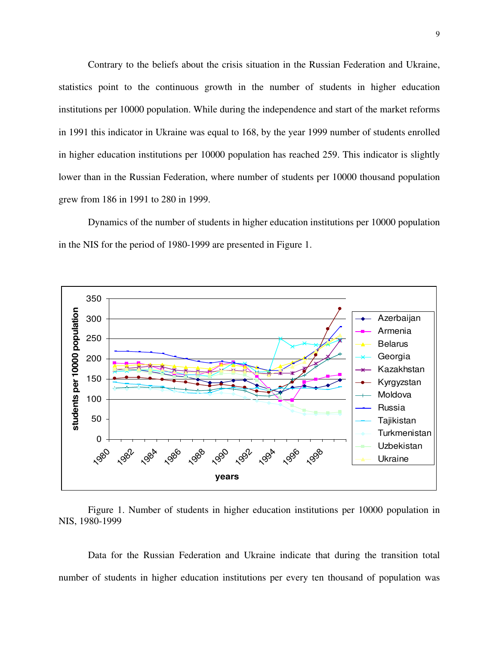Contrary to the beliefs about the crisis situation in the Russian Federation and Ukraine, statistics point to the continuous growth in the number of students in higher education institutions per 10000 population. While during the independence and start of the market reforms in 1991 this indicator in Ukraine was equal to 168, by the year 1999 number of students enrolled in higher education institutions per 10000 population has reached 259. This indicator is slightly lower than in the Russian Federation, where number of students per 10000 thousand population grew from 186 in 1991 to 280 in 1999.

Dynamics of the number of students in higher education institutions per 10000 population in the NIS for the period of 1980-1999 are presented in Figure 1.



Figure 1. Number of students in higher education institutions per 10000 population in NIS, 1980-1999

Data for the Russian Federation and Ukraine indicate that during the transition total number of students in higher education institutions per every ten thousand of population was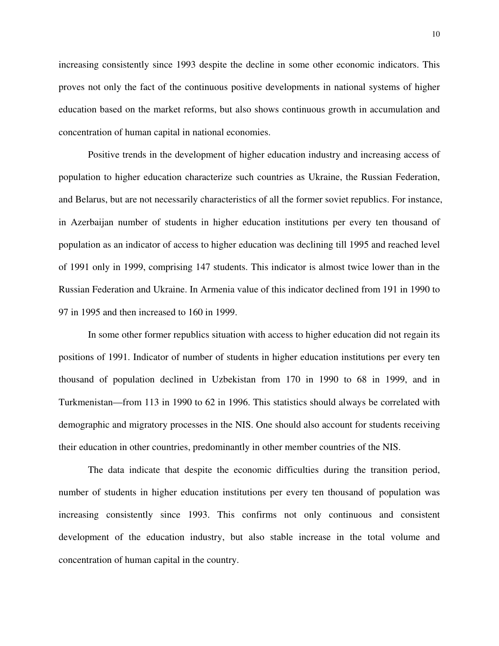increasing consistently since 1993 despite the decline in some other economic indicators. This proves not only the fact of the continuous positive developments in national systems of higher education based on the market reforms, but also shows continuous growth in accumulation and concentration of human capital in national economies.

Positive trends in the development of higher education industry and increasing access of population to higher education characterize such countries as Ukraine, the Russian Federation, and Belarus, but are not necessarily characteristics of all the former soviet republics. For instance, in Azerbaijan number of students in higher education institutions per every ten thousand of population as an indicator of access to higher education was declining till 1995 and reached level of 1991 only in 1999, comprising 147 students. This indicator is almost twice lower than in the Russian Federation and Ukraine. In Armenia value of this indicator declined from 191 in 1990 to 97 in 1995 and then increased to 160 in 1999.

In some other former republics situation with access to higher education did not regain its positions of 1991. Indicator of number of students in higher education institutions per every ten thousand of population declined in Uzbekistan from 170 in 1990 to 68 in 1999, and in Turkmenistan—from 113 in 1990 to 62 in 1996. This statistics should always be correlated with demographic and migratory processes in the NIS. One should also account for students receiving their education in other countries, predominantly in other member countries of the NIS.

The data indicate that despite the economic difficulties during the transition period, number of students in higher education institutions per every ten thousand of population was increasing consistently since 1993. This confirms not only continuous and consistent development of the education industry, but also stable increase in the total volume and concentration of human capital in the country.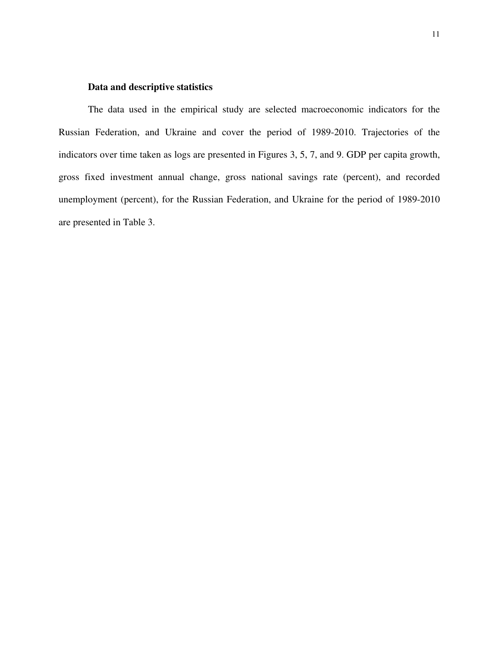# **Data and descriptive statistics**

The data used in the empirical study are selected macroeconomic indicators for the Russian Federation, and Ukraine and cover the period of 1989-2010. Trajectories of the indicators over time taken as logs are presented in Figures 3, 5, 7, and 9. GDP per capita growth, gross fixed investment annual change, gross national savings rate (percent), and recorded unemployment (percent), for the Russian Federation, and Ukraine for the period of 1989-2010 are presented in Table 3.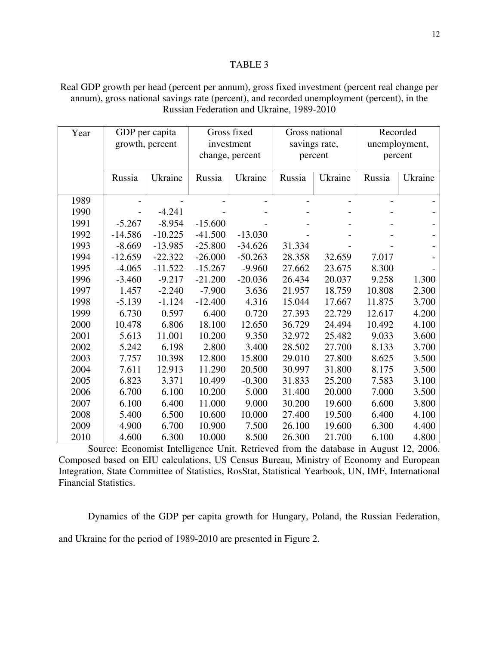# TABLE 3

Real GDP growth per head (percent per annum), gross fixed investment (percent real change per annum), gross national savings rate (percent), and recorded unemployment (percent), in the Russian Federation and Ukraine, 1989-2010

| Year |           | GDP per capita<br>growth, percent | Gross fixed<br>investment<br>change, percent |           | Gross national<br>savings rate,<br>percent |                | Recorded<br>unemployment,<br>percent |         |
|------|-----------|-----------------------------------|----------------------------------------------|-----------|--------------------------------------------|----------------|--------------------------------------|---------|
|      | Russia    | Ukraine                           | Russia                                       | Ukraine   | Russia                                     | Ukraine        | Russia                               | Ukraine |
| 1989 |           |                                   |                                              |           |                                            | $\overline{a}$ | $\overline{\phantom{0}}$             |         |
| 1990 |           | $-4.241$                          |                                              |           |                                            |                |                                      |         |
| 1991 | $-5.267$  | $-8.954$                          | $-15.600$                                    |           |                                            |                |                                      |         |
| 1992 | $-14.586$ | $-10.225$                         | $-41.500$                                    | $-13.030$ |                                            |                |                                      |         |
| 1993 | $-8.669$  | $-13.985$                         | $-25.800$                                    | $-34.626$ | 31.334                                     |                |                                      |         |
| 1994 | $-12.659$ | $-22.322$                         | $-26.000$                                    | $-50.263$ | 28.358                                     | 32.659         | 7.017                                |         |
| 1995 | $-4.065$  | $-11.522$                         | $-15.267$                                    | $-9.960$  | 27.662                                     | 23.675         | 8.300                                |         |
| 1996 | $-3.460$  | $-9.217$                          | $-21.200$                                    | $-20.036$ | 26.434                                     | 20.037         | 9.258                                | 1.300   |
| 1997 | 1.457     | $-2.240$                          | $-7.900$                                     | 3.636     | 21.957                                     | 18.759         | 10.808                               | 2.300   |
| 1998 | $-5.139$  | $-1.124$                          | $-12.400$                                    | 4.316     | 15.044                                     | 17.667         | 11.875                               | 3.700   |
| 1999 | 6.730     | 0.597                             | 6.400                                        | 0.720     | 27.393                                     | 22.729         | 12.617                               | 4.200   |
| 2000 | 10.478    | 6.806                             | 18.100                                       | 12.650    | 36.729                                     | 24.494         | 10.492                               | 4.100   |
| 2001 | 5.613     | 11.001                            | 10.200                                       | 9.350     | 32.972                                     | 25.482         | 9.033                                | 3.600   |
| 2002 | 5.242     | 6.198                             | 2.800                                        | 3.400     | 28.502                                     | 27.700         | 8.133                                | 3.700   |
| 2003 | 7.757     | 10.398                            | 12.800                                       | 15.800    | 29.010                                     | 27.800         | 8.625                                | 3.500   |
| 2004 | 7.611     | 12.913                            | 11.290                                       | 20.500    | 30.997                                     | 31.800         | 8.175                                | 3.500   |
| 2005 | 6.823     | 3.371                             | 10.499                                       | $-0.300$  | 31.833                                     | 25.200         | 7.583                                | 3.100   |
| 2006 | 6.700     | 6.100                             | 10.200                                       | 5.000     | 31.400                                     | 20.000         | 7.000                                | 3.500   |
| 2007 | 6.100     | 6.400                             | 11.000                                       | 9.000     | 30.200                                     | 19.600         | 6.600                                | 3.800   |
| 2008 | 5.400     | 6.500                             | 10.600                                       | 10.000    | 27.400                                     | 19.500         | 6.400                                | 4.100   |
| 2009 | 4.900     | 6.700                             | 10.900                                       | 7.500     | 26.100                                     | 19.600         | 6.300                                | 4.400   |
| 2010 | 4.600     | 6.300                             | 10.000                                       | 8.500     | 26.300                                     | 21.700         | 6.100                                | 4.800   |

Source: Economist Intelligence Unit. Retrieved from the database in August 12, 2006. Composed based on EIU calculations, US Census Bureau, Ministry of Economy and European Integration, State Committee of Statistics, RosStat, Statistical Yearbook, UN, IMF, International Financial Statistics.

Dynamics of the GDP per capita growth for Hungary, Poland, the Russian Federation,

and Ukraine for the period of 1989-2010 are presented in Figure 2.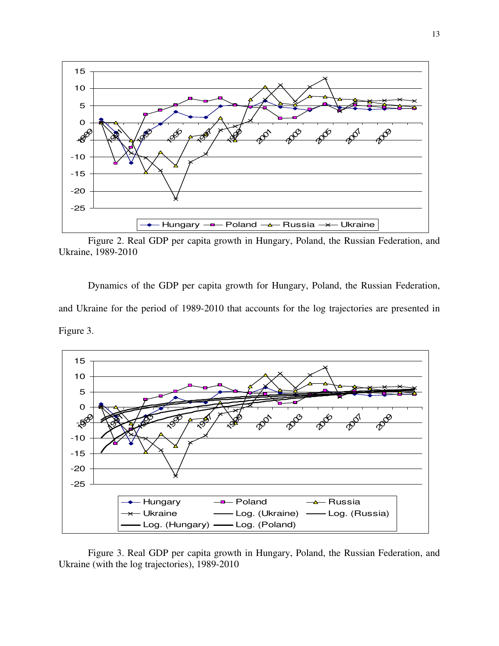

Figure 2. Real GDP per capita growth in Hungary, Poland, the Russian Federation, and Ukraine, 1989-2010

Dynamics of the GDP per capita growth for Hungary, Poland, the Russian Federation, and Ukraine for the period of 1989-2010 that accounts for the log trajectories are presented in Figure 3.



Figure 3. Real GDP per capita growth in Hungary, Poland, the Russian Federation, and Ukraine (with the log trajectories), 1989-2010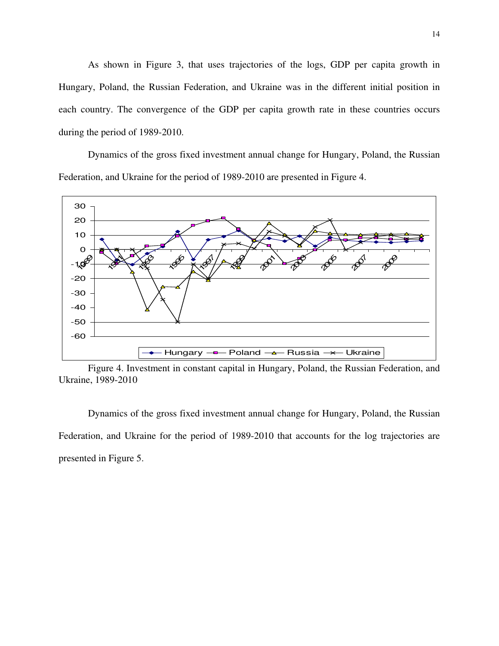As shown in Figure 3, that uses trajectories of the logs, GDP per capita growth in Hungary, Poland, the Russian Federation, and Ukraine was in the different initial position in each country. The convergence of the GDP per capita growth rate in these countries occurs during the period of 1989-2010.

Dynamics of the gross fixed investment annual change for Hungary, Poland, the Russian Federation, and Ukraine for the period of 1989-2010 are presented in Figure 4.



Figure 4. Investment in constant capital in Hungary, Poland, the Russian Federation, and Ukraine, 1989-2010

Dynamics of the gross fixed investment annual change for Hungary, Poland, the Russian Federation, and Ukraine for the period of 1989-2010 that accounts for the log trajectories are presented in Figure 5.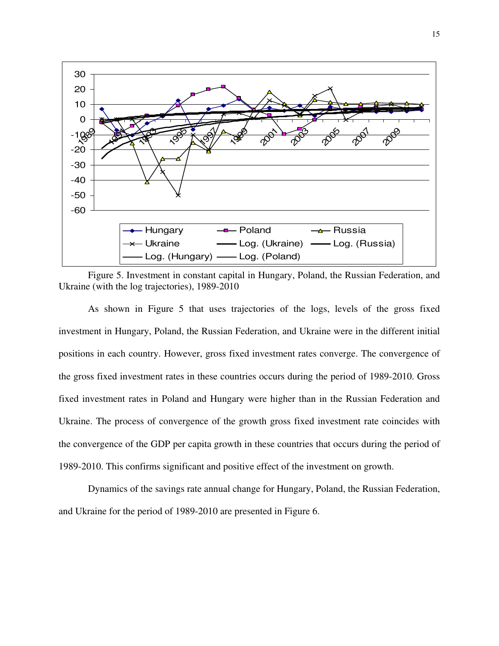

Figure 5. Investment in constant capital in Hungary, Poland, the Russian Federation, and Ukraine (with the log trajectories), 1989-2010

As shown in Figure 5 that uses trajectories of the logs, levels of the gross fixed investment in Hungary, Poland, the Russian Federation, and Ukraine were in the different initial positions in each country. However, gross fixed investment rates converge. The convergence of the gross fixed investment rates in these countries occurs during the period of 1989-2010. Gross fixed investment rates in Poland and Hungary were higher than in the Russian Federation and Ukraine. The process of convergence of the growth gross fixed investment rate coincides with the convergence of the GDP per capita growth in these countries that occurs during the period of 1989-2010. This confirms significant and positive effect of the investment on growth.

Dynamics of the savings rate annual change for Hungary, Poland, the Russian Federation, and Ukraine for the period of 1989-2010 are presented in Figure 6.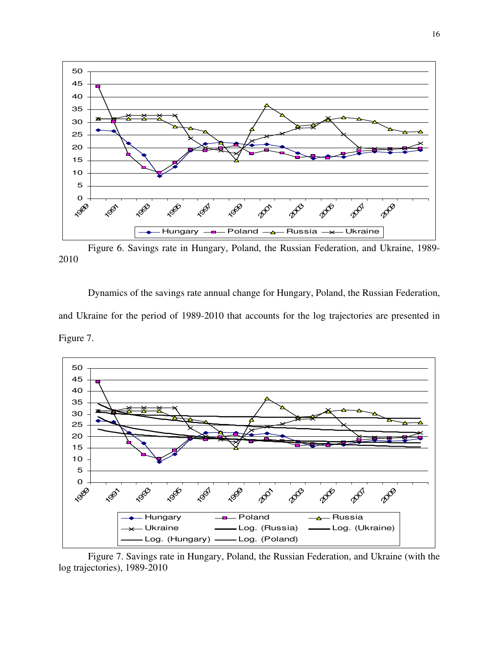

Figure 6. Savings rate in Hungary, Poland, the Russian Federation, and Ukraine, 1989- 

Dynamics of the savings rate annual change for Hungary, Poland, the Russian Federation, and Ukraine for the period of 1989-2010 that accounts for the log trajectories are presented in Figure 7.



Figure 7. Savings rate in Hungary, Poland, the Russian Federation, and Ukraine (with the log trajectories), 1989-2010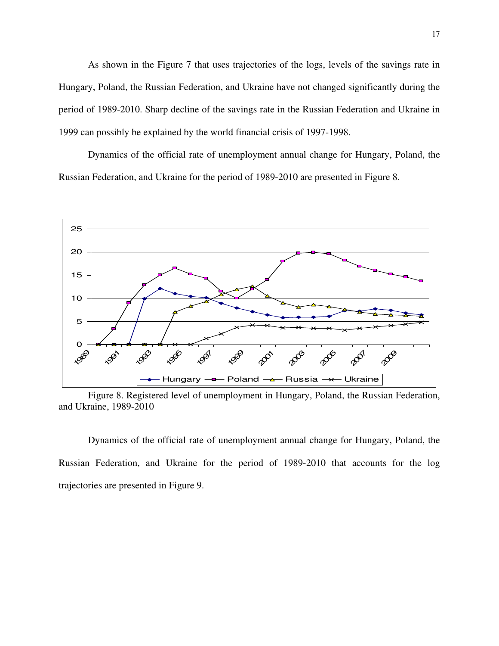As shown in the Figure 7 that uses trajectories of the logs, levels of the savings rate in Hungary, Poland, the Russian Federation, and Ukraine have not changed significantly during the period of 1989-2010. Sharp decline of the savings rate in the Russian Federation and Ukraine in 1999 can possibly be explained by the world financial crisis of 1997-1998.

Dynamics of the official rate of unemployment annual change for Hungary, Poland, the Russian Federation, and Ukraine for the period of 1989-2010 are presented in Figure 8.



Figure 8. Registered level of unemployment in Hungary, Poland, the Russian Federation, and Ukraine, 1989-2010

Dynamics of the official rate of unemployment annual change for Hungary, Poland, the Russian Federation, and Ukraine for the period of 1989-2010 that accounts for the log trajectories are presented in Figure 9.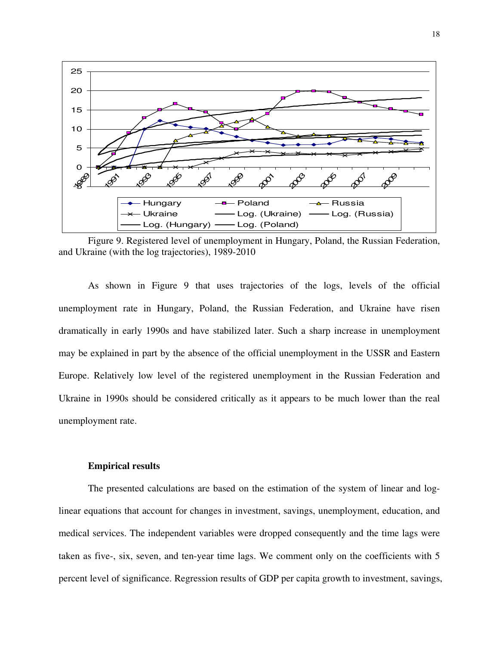

Figure 9. Registered level of unemployment in Hungary, Poland, the Russian Federation, and Ukraine (with the log trajectories), 1989-2010

As shown in Figure 9 that uses trajectories of the logs, levels of the official unemployment rate in Hungary, Poland, the Russian Federation, and Ukraine have risen dramatically in early 1990s and have stabilized later. Such a sharp increase in unemployment may be explained in part by the absence of the official unemployment in the USSR and Eastern Europe. Relatively low level of the registered unemployment in the Russian Federation and Ukraine in 1990s should be considered critically as it appears to be much lower than the real unemployment rate.

#### **Empirical results**

The presented calculations are based on the estimation of the system of linear and loglinear equations that account for changes in investment, savings, unemployment, education, and medical services. The independent variables were dropped consequently and the time lags were taken as five-, six, seven, and ten-year time lags. We comment only on the coefficients with 5 percent level of significance. Regression results of GDP per capita growth to investment, savings,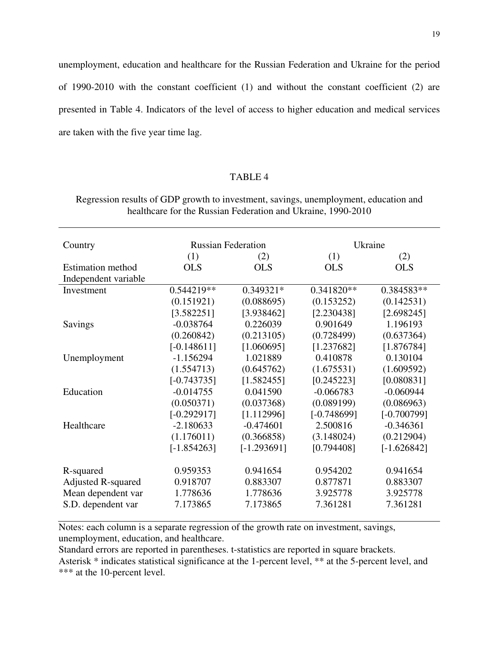unemployment, education and healthcare for the Russian Federation and Ukraine for the period of 1990-2010 with the constant coefficient (1) and without the constant coefficient (2) are presented in Table 4. Indicators of the level of access to higher education and medical services are taken with the five year time lag.

# TABLE 4

| Regression results of GDP growth to investment, savings, unemployment, education and |  |
|--------------------------------------------------------------------------------------|--|
| healthcare for the Russian Federation and Ukraine, 1990-2010                         |  |

| Country                   | <b>Russian Federation</b> |               | Ukraine       |               |  |
|---------------------------|---------------------------|---------------|---------------|---------------|--|
|                           | (1)                       | (2)           | (1)           | (2)           |  |
| <b>Estimation method</b>  | <b>OLS</b>                | <b>OLS</b>    | <b>OLS</b>    | <b>OLS</b>    |  |
| Independent variable      |                           |               |               |               |  |
| Investment                | 0.544219**                | 0.349321*     | 0.341820**    | 0.384583**    |  |
|                           | (0.151921)                | (0.088695)    | (0.153252)    | (0.142531)    |  |
|                           | [3.582251]                | [3.938462]    | [2.230438]    | [2.698245]    |  |
| Savings                   | $-0.038764$               | 0.226039      | 0.901649      | 1.196193      |  |
|                           | (0.260842)                | (0.213105)    | (0.728499)    | (0.637364)    |  |
|                           | $[-0.148611]$             | [1.060695]    | [1.237682]    | [1.876784]    |  |
| Unemployment              | $-1.156294$               | 1.021889      | 0.410878      | 0.130104      |  |
|                           | (1.554713)                | (0.645762)    | (1.675531)    | (1.609592)    |  |
|                           | $[-0.743735]$             | [1.582455]    | [0.245223]    | [0.080831]    |  |
| Education                 | $-0.014755$               | 0.041590      | $-0.066783$   | $-0.060944$   |  |
|                           | (0.050371)                | (0.037368)    | (0.089199)    | (0.086963)    |  |
|                           | $[-0.292917]$             | [1.112996]    | $[-0.748699]$ | $[-0.700799]$ |  |
| Healthcare                | $-2.180633$               | $-0.474601$   | 2.500816      | $-0.346361$   |  |
|                           | (1.176011)                | (0.366858)    | (3.148024)    | (0.212904)    |  |
|                           | $[-1.854263]$             | $[-1.293691]$ | [0.794408]    | $[-1.626842]$ |  |
| R-squared                 | 0.959353                  | 0.941654      | 0.954202      | 0.941654      |  |
| <b>Adjusted R-squared</b> | 0.918707                  | 0.883307      | 0.877871      | 0.883307      |  |
| Mean dependent var        | 1.778636                  | 1.778636      | 3.925778      | 3.925778      |  |
| S.D. dependent var        | 7.173865                  | 7.173865      | 7.361281      | 7.361281      |  |

Notes: each column is a separate regression of the growth rate on investment, savings, unemployment, education, and healthcare.

Standard errors are reported in parentheses. t-statistics are reported in square brackets. Asterisk \* indicates statistical significance at the 1-percent level, \*\* at the 5-percent level, and \*\*\* at the 10-percent level.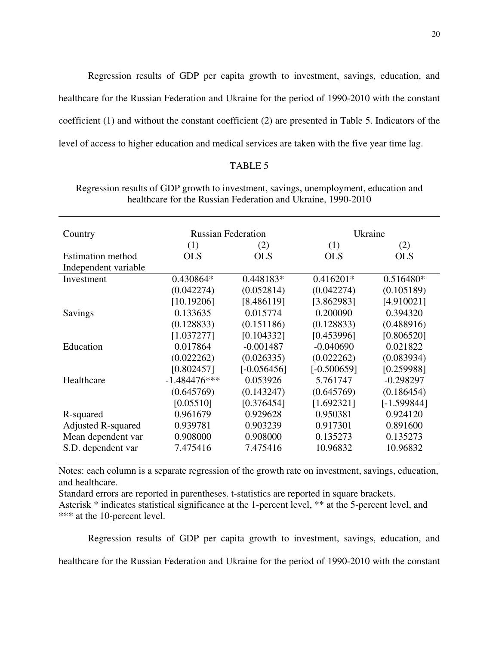Regression results of GDP per capita growth to investment, savings, education, and healthcare for the Russian Federation and Ukraine for the period of 1990-2010 with the constant coefficient (1) and without the constant coefficient (2) are presented in Table 5. Indicators of the level of access to higher education and medical services are taken with the five year time lag.

# TABLE 5

| Regression results of GDP growth to investment, savings, unemployment, education and |  |
|--------------------------------------------------------------------------------------|--|
| healthcare for the Russian Federation and Ukraine, 1990-2010                         |  |

|                |               | Ukraine                   |               |  |
|----------------|---------------|---------------------------|---------------|--|
| (1)            | (2)           | (1)                       | (2)           |  |
| <b>OLS</b>     | <b>OLS</b>    | <b>OLS</b>                | <b>OLS</b>    |  |
|                |               |                           |               |  |
| 0.430864*      | $0.448183*$   | $0.416201*$               | $0.516480*$   |  |
| (0.042274)     | (0.052814)    | (0.042274)                | (0.105189)    |  |
| [10.19206]     | [8.486119]    | [3.862983]                | [4.910021]    |  |
| 0.133635       | 0.015774      | 0.200090                  | 0.394320      |  |
| (0.128833)     | (0.151186)    | (0.128833)                | (0.488916)    |  |
| [1.037277]     | [0.104332]    | [0.453996]                | [0.806520]    |  |
| 0.017864       | $-0.001487$   | $-0.040690$               | 0.021822      |  |
| (0.022262)     | (0.026335)    | (0.022262)                | (0.083934)    |  |
| [0.802457]     | $[-0.056456]$ | $[-0.500659]$             | [0.259988]    |  |
| $-1.484476***$ | 0.053926      | 5.761747                  | $-0.298297$   |  |
| (0.645769)     | (0.143247)    | (0.645769)                | (0.186454)    |  |
| [0.05510]      | [0.376454]    | [1.692321]                | $[-1.599844]$ |  |
| 0.961679       | 0.929628      | 0.950381                  | 0.924120      |  |
| 0.939781       | 0.903239      | 0.917301                  | 0.891600      |  |
| 0.908000       | 0.908000      | 0.135273                  | 0.135273      |  |
| 7.475416       | 7.475416      | 10.96832                  | 10.96832      |  |
|                |               | <b>Russian Federation</b> |               |  |

Notes: each column is a separate regression of the growth rate on investment, savings, education, and healthcare.

Standard errors are reported in parentheses. t-statistics are reported in square brackets.

Asterisk \* indicates statistical significance at the 1-percent level, \*\* at the 5-percent level, and \*\*\* at the 10-percent level.

Regression results of GDP per capita growth to investment, savings, education, and

healthcare for the Russian Federation and Ukraine for the period of 1990-2010 with the constant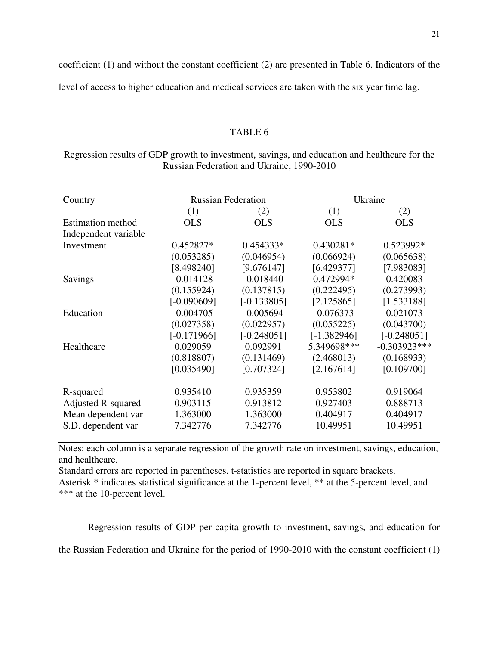coefficient (1) and without the constant coefficient (2) are presented in Table 6. Indicators of the

level of access to higher education and medical services are taken with the six year time lag.

# TABLE 6

| Regression results of GDP growth to investment, savings, and education and healthcare for the |  |
|-----------------------------------------------------------------------------------------------|--|
| Russian Federation and Ukraine, 1990-2010                                                     |  |

| Country                   | <b>Russian Federation</b> |               | Ukraine       |                |  |
|---------------------------|---------------------------|---------------|---------------|----------------|--|
|                           | (1)                       | (2)           | (1)           | (2)            |  |
| <b>Estimation method</b>  | <b>OLS</b>                | <b>OLS</b>    | <b>OLS</b>    | <b>OLS</b>     |  |
| Independent variable      |                           |               |               |                |  |
| Investment                | 0.452827*                 | $0.454333*$   | $0.430281*$   | $0.523992*$    |  |
|                           | (0.053285)                | (0.046954)    | (0.066924)    | (0.065638)     |  |
|                           | [8.498240]                | [9.676147]    | [6.429377]    | [7.983083]     |  |
| Savings                   | $-0.014128$               | $-0.018440$   | 0.472994*     | 0.420083       |  |
|                           | (0.155924)                | (0.137815)    | (0.222495)    | (0.273993)     |  |
|                           | $[-0.090609]$             | $[-0.133805]$ | [2.125865]    | [1.533188]     |  |
| Education                 | $-0.004705$               | $-0.005694$   | $-0.076373$   | 0.021073       |  |
|                           | (0.027358)                | (0.022957)    | (0.055225)    | (0.043700)     |  |
|                           | $[-0.171966]$             | $[-0.248051]$ | $[-1.382946]$ | $[-0.248051]$  |  |
| Healthcare                | 0.029059                  | 0.092991      | 5.349698***   | $-0.303923***$ |  |
|                           | (0.818807)                | (0.131469)    | (2.468013)    | (0.168933)     |  |
|                           | [0.035490]                | [0.707324]    | [2.167614]    | [0.109700]     |  |
|                           |                           |               |               |                |  |
| R-squared                 | 0.935410                  | 0.935359      | 0.953802      | 0.919064       |  |
| <b>Adjusted R-squared</b> | 0.903115                  | 0.913812      | 0.927403      | 0.888713       |  |
| Mean dependent var        | 1.363000                  | 1.363000      | 0.404917      | 0.404917       |  |
| S.D. dependent var        | 7.342776                  | 7.342776      | 10.49951      | 10.49951       |  |
|                           |                           |               |               |                |  |

Notes: each column is a separate regression of the growth rate on investment, savings, education, and healthcare.

Standard errors are reported in parentheses. t-statistics are reported in square brackets. Asterisk \* indicates statistical significance at the 1-percent level, \*\* at the 5-percent level, and \*\*\* at the 10-percent level.

Regression results of GDP per capita growth to investment, savings, and education for

the Russian Federation and Ukraine for the period of 1990-2010 with the constant coefficient (1)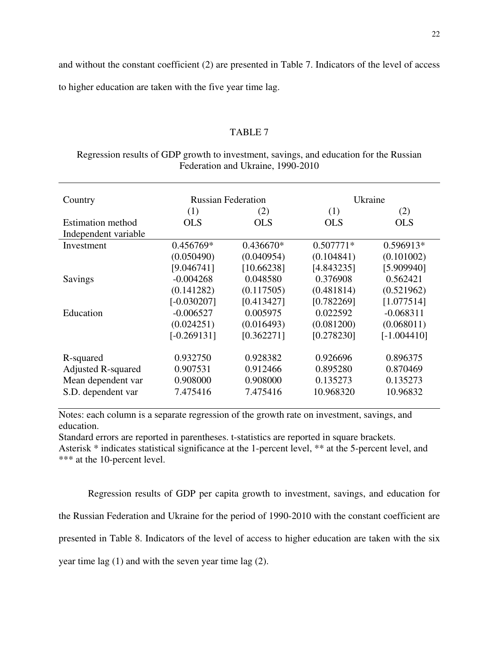and without the constant coefficient (2) are presented in Table 7. Indicators of the level of access

to higher education are taken with the five year time lag.

# TABLE 7

# Regression results of GDP growth to investment, savings, and education for the Russian Federation and Ukraine, 1990-2010

| Country                   | <b>Russian Federation</b> |             | Ukraine     |               |  |
|---------------------------|---------------------------|-------------|-------------|---------------|--|
|                           | (1)                       | (2)         | (1)         | (2)           |  |
| <b>Estimation method</b>  | <b>OLS</b>                | <b>OLS</b>  | <b>OLS</b>  | <b>OLS</b>    |  |
| Independent variable      |                           |             |             |               |  |
| Investment                | 0.456769*                 | $0.436670*$ | $0.507771*$ | 0.596913*     |  |
|                           | (0.050490)                | (0.040954)  | (0.104841)  | (0.101002)    |  |
|                           | [9.046741]                | [10.66238]  | [4.843235]  | [5.909940]    |  |
| Savings                   | $-0.004268$               | 0.048580    | 0.376908    | 0.562421      |  |
|                           | (0.141282)                | (0.117505)  | (0.481814)  | (0.521962)    |  |
|                           | $[-0.030207]$             | [0.413427]  | [0.782269]  | [1.077514]    |  |
| Education                 | $-0.006527$               | 0.005975    | 0.022592    | $-0.068311$   |  |
|                           | (0.024251)                | (0.016493)  | (0.081200)  | (0.068011)    |  |
|                           | $[-0.269131]$             | [0.362271]  | [0.278230]  | $[-1.004410]$ |  |
| R-squared                 | 0.932750                  | 0.928382    | 0.926696    | 0.896375      |  |
| <b>Adjusted R-squared</b> | 0.907531                  | 0.912466    | 0.895280    | 0.870469      |  |
| Mean dependent var        | 0.908000                  | 0.908000    | 0.135273    | 0.135273      |  |
| S.D. dependent var        | 7.475416                  | 7.475416    | 10.968320   | 10.96832      |  |

Notes: each column is a separate regression of the growth rate on investment, savings, and education.

Standard errors are reported in parentheses. t-statistics are reported in square brackets. Asterisk \* indicates statistical significance at the 1-percent level, \*\* at the 5-percent level, and \*\*\* at the 10-percent level.

Regression results of GDP per capita growth to investment, savings, and education for the Russian Federation and Ukraine for the period of 1990-2010 with the constant coefficient are presented in Table 8. Indicators of the level of access to higher education are taken with the six year time lag (1) and with the seven year time lag (2).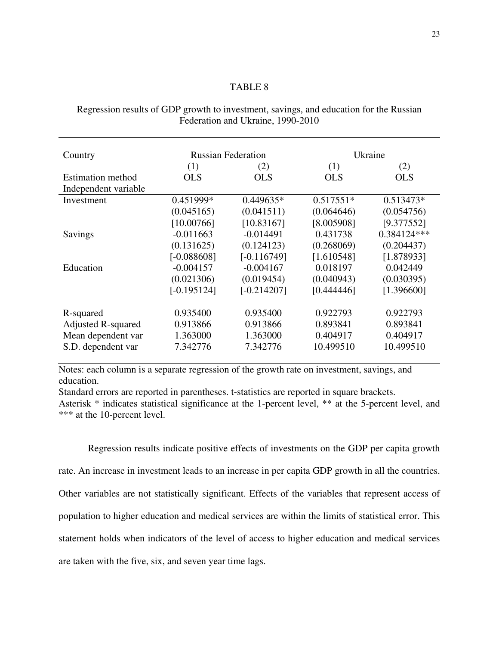# TABLE 8

Regression results of GDP growth to investment, savings, and education for the Russian Federation and Ukraine, 1990-2010

| Country                   | <b>Russian Federation</b> |               | Ukraine     |             |  |
|---------------------------|---------------------------|---------------|-------------|-------------|--|
|                           | (1)                       | (2)           | (1)         | (2)         |  |
| <b>Estimation method</b>  | <b>OLS</b>                | <b>OLS</b>    | <b>OLS</b>  | <b>OLS</b>  |  |
| Independent variable      |                           |               |             |             |  |
| Investment                | 0.451999*                 | $0.449635*$   | $0.517551*$ | $0.513473*$ |  |
|                           | (0.045165)                | (0.041511)    | (0.064646)  | (0.054756)  |  |
|                           | [10.00766]                | [10.83167]    | [8.005908]  | [9.377552]  |  |
| Savings                   | $-0.011663$               | $-0.014491$   | 0.431738    | 0.384124*** |  |
|                           | (0.131625)                | (0.124123)    | (0.268069)  | (0.204437)  |  |
|                           | $[-0.088608]$             | $[-0.116749]$ | [1.610548]  | [1.878933]  |  |
| Education                 | $-0.004157$               | $-0.004167$   | 0.018197    | 0.042449    |  |
|                           | (0.021306)                | (0.019454)    | (0.040943)  | (0.030395)  |  |
|                           | $[-0.195124]$             | $[-0.214207]$ | [0.444446]  | [1.396600]  |  |
| R-squared                 | 0.935400                  | 0.935400      | 0.922793    | 0.922793    |  |
| <b>Adjusted R-squared</b> | 0.913866                  | 0.913866      | 0.893841    | 0.893841    |  |
| Mean dependent var        | 1.363000                  | 1.363000      | 0.404917    | 0.404917    |  |
| S.D. dependent var        | 7.342776                  | 7.342776      | 10.499510   | 10.499510   |  |

Notes: each column is a separate regression of the growth rate on investment, savings, and education.

Standard errors are reported in parentheses. t-statistics are reported in square brackets.

Asterisk \* indicates statistical significance at the 1-percent level, \*\* at the 5-percent level, and \*\*\* at the 10-percent level.

Regression results indicate positive effects of investments on the GDP per capita growth rate. An increase in investment leads to an increase in per capita GDP growth in all the countries. Other variables are not statistically significant. Effects of the variables that represent access of population to higher education and medical services are within the limits of statistical error. This statement holds when indicators of the level of access to higher education and medical services are taken with the five, six, and seven year time lags.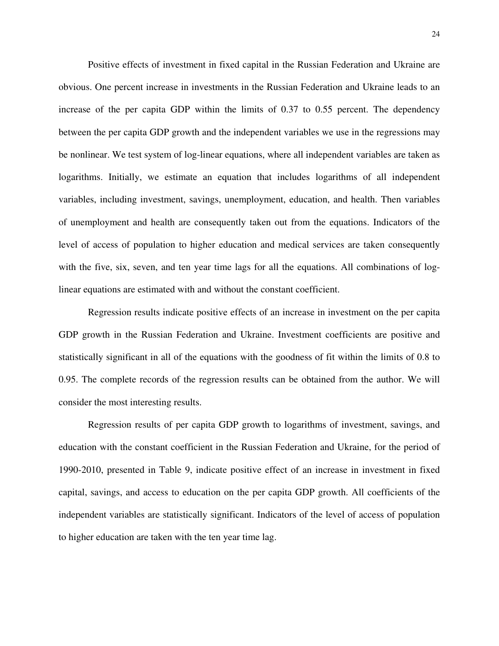Positive effects of investment in fixed capital in the Russian Federation and Ukraine are obvious. One percent increase in investments in the Russian Federation and Ukraine leads to an increase of the per capita GDP within the limits of 0.37 to 0.55 percent. The dependency between the per capita GDP growth and the independent variables we use in the regressions may be nonlinear. We test system of log-linear equations, where all independent variables are taken as logarithms. Initially, we estimate an equation that includes logarithms of all independent variables, including investment, savings, unemployment, education, and health. Then variables of unemployment and health are consequently taken out from the equations. Indicators of the level of access of population to higher education and medical services are taken consequently with the five, six, seven, and ten year time lags for all the equations. All combinations of loglinear equations are estimated with and without the constant coefficient.

Regression results indicate positive effects of an increase in investment on the per capita GDP growth in the Russian Federation and Ukraine. Investment coefficients are positive and statistically significant in all of the equations with the goodness of fit within the limits of 0.8 to 0.95. The complete records of the regression results can be obtained from the author. We will consider the most interesting results.

Regression results of per capita GDP growth to logarithms of investment, savings, and education with the constant coefficient in the Russian Federation and Ukraine, for the period of 1990-2010, presented in Table 9, indicate positive effect of an increase in investment in fixed capital, savings, and access to education on the per capita GDP growth. All coefficients of the independent variables are statistically significant. Indicators of the level of access of population to higher education are taken with the ten year time lag.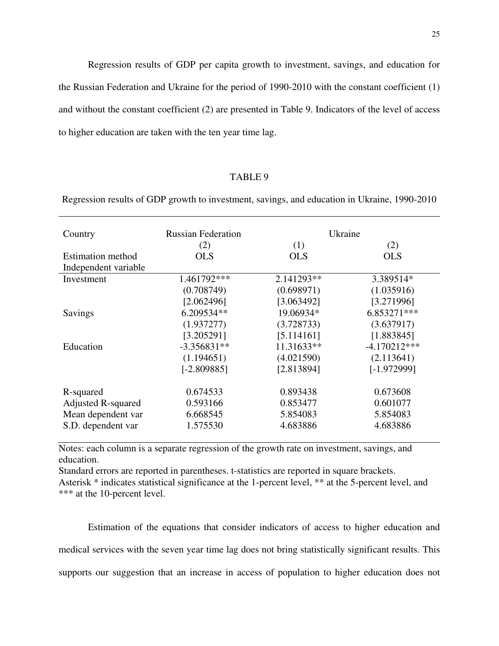Regression results of GDP per capita growth to investment, savings, and education for the Russian Federation and Ukraine for the period of 1990-2010 with the constant coefficient (1) and without the constant coefficient (2) are presented in Table 9. Indicators of the level of access to higher education are taken with the ten year time lag.

# TABLE 9

Regression results of GDP growth to investment, savings, and education in Ukraine, 1990-2010

| Country                   | <b>Russian Federation</b> |            | Ukraine        |
|---------------------------|---------------------------|------------|----------------|
|                           | (2)                       | (1)        | (2)            |
| <b>Estimation method</b>  | OLS                       | <b>OLS</b> | <b>OLS</b>     |
| Independent variable      |                           |            |                |
| Investment                | 1.461792***               | 2.141293** | 3.389514*      |
|                           | (0.708749)                | (0.698971) | (1.035916)     |
|                           | [2.062496]                | [3.063492] | [3.271996]     |
| Savings                   | 6.209534**                | 19.06934*  | 6.853271***    |
|                           | (1.937277)                | (3.728733) | (3.637917)     |
|                           | [3.205291]                | [5.114161] | [1.883845]     |
| Education                 | $-3.356831**$             | 11.31633** | $-4.170212***$ |
|                           | (1.194651)                | (4.021590) | (2.113641)     |
|                           | $[-2.809885]$             | [2.813894] | $[-1.972999]$  |
| R-squared                 | 0.674533                  | 0.893438   | 0.673608       |
| <b>Adjusted R-squared</b> | 0.593166                  | 0.853477   | 0.601077       |
| Mean dependent var        | 6.668545                  | 5.854083   | 5.854083       |
| S.D. dependent var        | 1.575530                  | 4.683886   | 4.683886       |

Notes: each column is a separate regression of the growth rate on investment, savings, and education.

Standard errors are reported in parentheses. t-statistics are reported in square brackets. Asterisk \* indicates statistical significance at the 1-percent level, \*\* at the 5-percent level, and \*\*\* at the 10-percent level.

Estimation of the equations that consider indicators of access to higher education and medical services with the seven year time lag does not bring statistically significant results. This supports our suggestion that an increase in access of population to higher education does not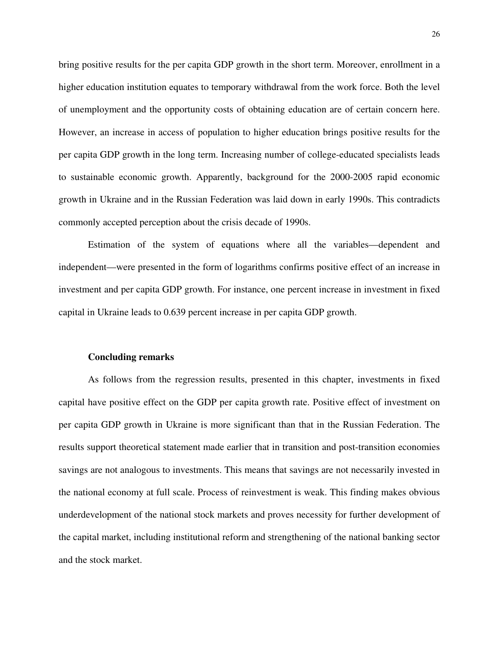bring positive results for the per capita GDP growth in the short term. Moreover, enrollment in a higher education institution equates to temporary withdrawal from the work force. Both the level of unemployment and the opportunity costs of obtaining education are of certain concern here. However, an increase in access of population to higher education brings positive results for the per capita GDP growth in the long term. Increasing number of college-educated specialists leads to sustainable economic growth. Apparently, background for the 2000-2005 rapid economic growth in Ukraine and in the Russian Federation was laid down in early 1990s. This contradicts commonly accepted perception about the crisis decade of 1990s.

Estimation of the system of equations where all the variables—dependent and independent—were presented in the form of logarithms confirms positive effect of an increase in investment and per capita GDP growth. For instance, one percent increase in investment in fixed capital in Ukraine leads to 0.639 percent increase in per capita GDP growth.

#### **Concluding remarks**

As follows from the regression results, presented in this chapter, investments in fixed capital have positive effect on the GDP per capita growth rate. Positive effect of investment on per capita GDP growth in Ukraine is more significant than that in the Russian Federation. The results support theoretical statement made earlier that in transition and post-transition economies savings are not analogous to investments. This means that savings are not necessarily invested in the national economy at full scale. Process of reinvestment is weak. This finding makes obvious underdevelopment of the national stock markets and proves necessity for further development of the capital market, including institutional reform and strengthening of the national banking sector and the stock market.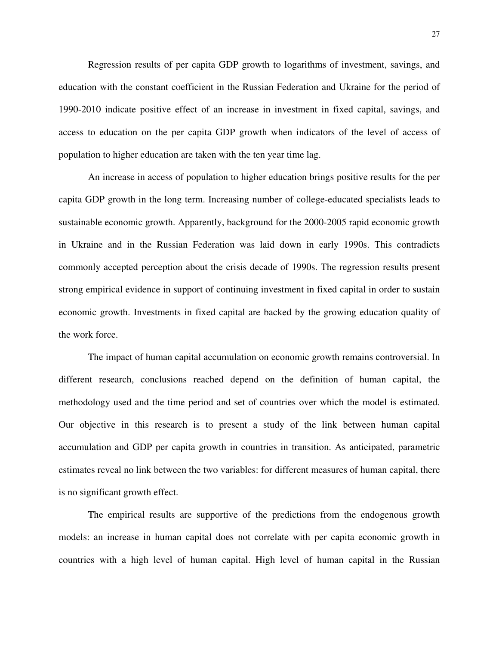Regression results of per capita GDP growth to logarithms of investment, savings, and education with the constant coefficient in the Russian Federation and Ukraine for the period of 1990-2010 indicate positive effect of an increase in investment in fixed capital, savings, and access to education on the per capita GDP growth when indicators of the level of access of population to higher education are taken with the ten year time lag.

An increase in access of population to higher education brings positive results for the per capita GDP growth in the long term. Increasing number of college-educated specialists leads to sustainable economic growth. Apparently, background for the 2000-2005 rapid economic growth in Ukraine and in the Russian Federation was laid down in early 1990s. This contradicts commonly accepted perception about the crisis decade of 1990s. The regression results present strong empirical evidence in support of continuing investment in fixed capital in order to sustain economic growth. Investments in fixed capital are backed by the growing education quality of the work force.

The impact of human capital accumulation on economic growth remains controversial. In different research, conclusions reached depend on the definition of human capital, the methodology used and the time period and set of countries over which the model is estimated. Our objective in this research is to present a study of the link between human capital accumulation and GDP per capita growth in countries in transition. As anticipated, parametric estimates reveal no link between the two variables: for different measures of human capital, there is no significant growth effect.

The empirical results are supportive of the predictions from the endogenous growth models: an increase in human capital does not correlate with per capita economic growth in countries with a high level of human capital. High level of human capital in the Russian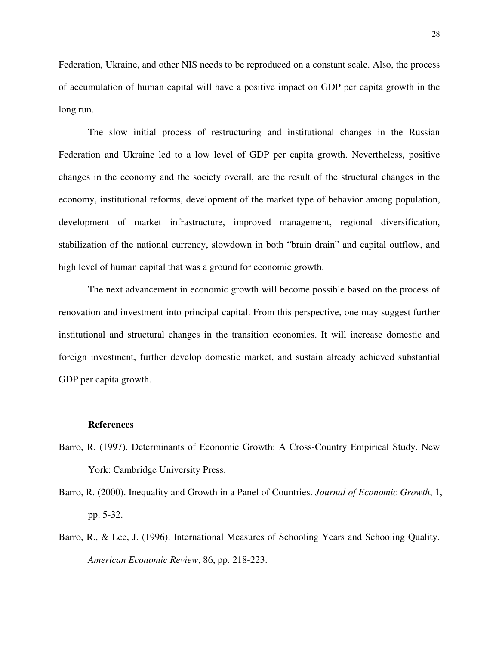Federation, Ukraine, and other NIS needs to be reproduced on a constant scale. Also, the process of accumulation of human capital will have a positive impact on GDP per capita growth in the long run.

The slow initial process of restructuring and institutional changes in the Russian Federation and Ukraine led to a low level of GDP per capita growth. Nevertheless, positive changes in the economy and the society overall, are the result of the structural changes in the economy, institutional reforms, development of the market type of behavior among population, development of market infrastructure, improved management, regional diversification, stabilization of the national currency, slowdown in both "brain drain" and capital outflow, and high level of human capital that was a ground for economic growth.

The next advancement in economic growth will become possible based on the process of renovation and investment into principal capital. From this perspective, one may suggest further institutional and structural changes in the transition economies. It will increase domestic and foreign investment, further develop domestic market, and sustain already achieved substantial GDP per capita growth.

#### **References**

- Barro, R. (1997). Determinants of Economic Growth: A Cross-Country Empirical Study. New York: Cambridge University Press.
- Barro, R. (2000). Inequality and Growth in a Panel of Countries. *Journal of Economic Growth*, 1, pp. 5-32.
- Barro, R., & Lee, J. (1996). International Measures of Schooling Years and Schooling Quality. *American Economic Review*, 86, pp. 218-223.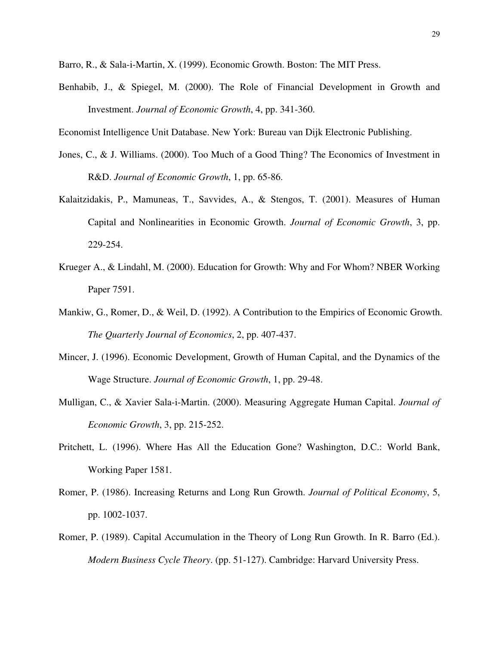Barro, R., & Sala-i-Martin, X. (1999). Economic Growth. Boston: The MIT Press.

Benhabib, J., & Spiegel, M. (2000). The Role of Financial Development in Growth and Investment. *Journal of Economic Growth*, 4, pp. 341-360.

Economist Intelligence Unit Database. New York: Bureau van Dijk Electronic Publishing.

- Jones, C., & J. Williams. (2000). Too Much of a Good Thing? The Economics of Investment in R&D. *Journal of Economic Growth*, 1, pp. 65-86.
- Kalaitzidakis, P., Mamuneas, T., Savvides, A., & Stengos, T. (2001). Measures of Human Capital and Nonlinearities in Economic Growth. *Journal of Economic Growth*, 3, pp. 229-254.
- Krueger A., & Lindahl, M. (2000). Education for Growth: Why and For Whom? NBER Working Paper 7591.
- Mankiw, G., Romer, D., & Weil, D. (1992). A Contribution to the Empirics of Economic Growth. *The Quarterly Journal of Economics*, 2, pp. 407-437.
- Mincer, J. (1996). Economic Development, Growth of Human Capital, and the Dynamics of the Wage Structure. *Journal of Economic Growth*, 1, pp. 29-48.
- Mulligan, C., & Xavier Sala-i-Martin. (2000). Measuring Aggregate Human Capital. *Journal of Economic Growth*, 3, pp. 215-252.
- Pritchett, L. (1996). Where Has All the Education Gone? Washington, D.C.: World Bank, Working Paper 1581.
- Romer, P. (1986). Increasing Returns and Long Run Growth. *Journal of Political Economy*, 5, pp. 1002-1037.
- Romer, P. (1989). Capital Accumulation in the Theory of Long Run Growth. In R. Barro (Ed.). *Modern Business Cycle Theory*. (pp. 51-127). Cambridge: Harvard University Press.